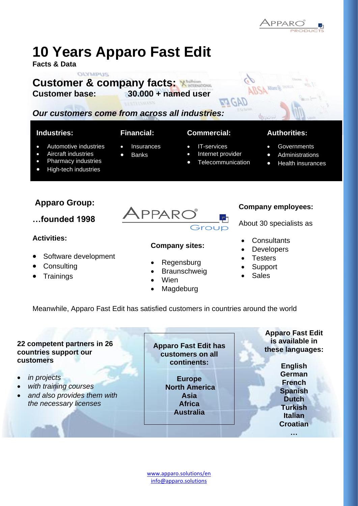# **10 Years Apparo Fast Edit**

**Facts & Data**

## **OLYMPUS Customer & company facts: Customer base: 30.000 + named user**

# *Our customers come from across all industries:*

## **Industries:**

- Automotive industries
- Aircraft industries
- Pharmacy industries
- High-tech industries

# **Apparo Group:**

**…founded 1998**

## **Activities:**

- Software development
- **Consulting**
- Trainings

## **Financial:**

- Insurances
- **Banks**
- **Commercial:**
	- IT-services
	- Internet provider
	- **Telecommunication**

#### **Authorities:**

- **Governments**
- **Administrations**
- Health insurances

**PPAR** 

## **Company sites:**

- Regensburg
- **Braunschweig**
- **Wien**
- **Magdeburg**

## **Company employees:**

About 30 specialists as

- **Consultants**
- **Developers**
- **Testers**
- **Support**
- **Sales**

Meanwhile, Apparo Fast Edit has satisfied customers in countries around the world

#### **22 competent partners in 26 countries support our customers**

- *in projects*
- *with training courses*
- *and also provides them with the necessary licenses*

**Apparo Fast Edit has customers on all continents:**

> **Europe North America Asia Africa Australia**

**Apparo Fast Edit is available in these languages:**

> **English German French Spanish Dutch Turkish Italian Croatian**

> > **…**

[www.apparo.solutions/en](http://www.apparo.solutions/en) [info@apparo.solutions](mailto:info@apparo.solutions)